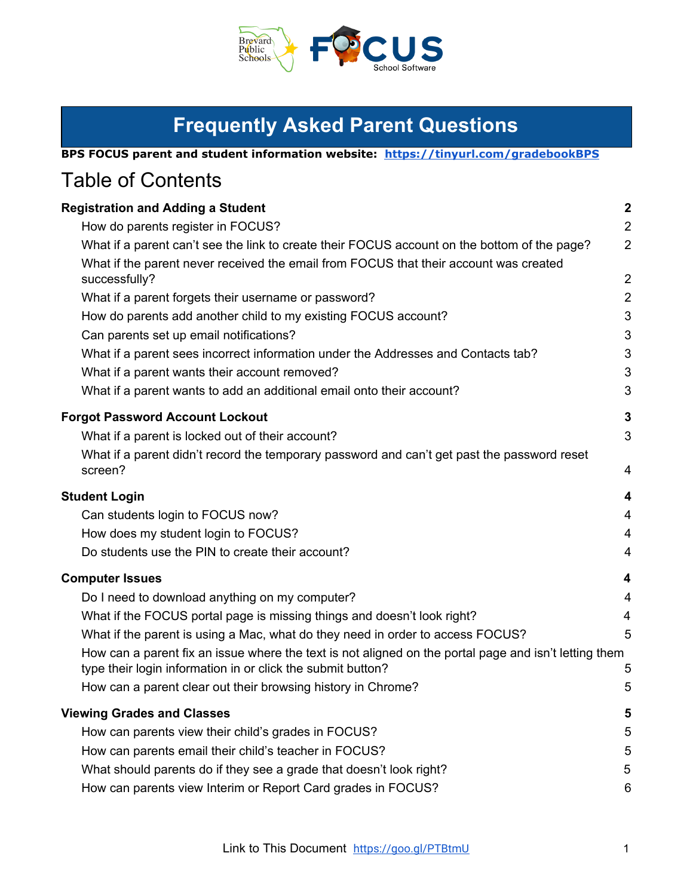

| BPS FOCUS parent and student information website: https://tinyurl.com/gradebookBPS |  |
|------------------------------------------------------------------------------------|--|

# Table of Contents

| <b>Registration and Adding a Student</b>                                                                                                                             | $\boldsymbol{2}$ |
|----------------------------------------------------------------------------------------------------------------------------------------------------------------------|------------------|
| How do parents register in FOCUS?                                                                                                                                    | $\overline{2}$   |
| What if a parent can't see the link to create their FOCUS account on the bottom of the page?                                                                         | $\overline{2}$   |
| What if the parent never received the email from FOCUS that their account was created<br>successfully?                                                               | $\overline{2}$   |
| What if a parent forgets their username or password?                                                                                                                 | $\overline{2}$   |
| How do parents add another child to my existing FOCUS account?                                                                                                       | 3                |
| Can parents set up email notifications?                                                                                                                              | 3                |
| What if a parent sees incorrect information under the Addresses and Contacts tab?                                                                                    | 3                |
| What if a parent wants their account removed?                                                                                                                        | 3                |
| What if a parent wants to add an additional email onto their account?                                                                                                | 3                |
| <b>Forgot Password Account Lockout</b>                                                                                                                               | 3                |
| What if a parent is locked out of their account?                                                                                                                     | 3                |
| What if a parent didn't record the temporary password and can't get past the password reset<br>screen?                                                               | 4                |
| <b>Student Login</b>                                                                                                                                                 | 4                |
| Can students login to FOCUS now?                                                                                                                                     | 4                |
| How does my student login to FOCUS?                                                                                                                                  | $\overline{4}$   |
| Do students use the PIN to create their account?                                                                                                                     | 4                |
| <b>Computer Issues</b>                                                                                                                                               | 4                |
| Do I need to download anything on my computer?                                                                                                                       | 4                |
| What if the FOCUS portal page is missing things and doesn't look right?                                                                                              | 4                |
| What if the parent is using a Mac, what do they need in order to access FOCUS?                                                                                       | 5                |
| How can a parent fix an issue where the text is not aligned on the portal page and isn't letting them<br>type their login information in or click the submit button? | 5                |
| How can a parent clear out their browsing history in Chrome?                                                                                                         | 5                |
| <b>Viewing Grades and Classes</b>                                                                                                                                    | 5                |
| How can parents view their child's grades in FOCUS?                                                                                                                  | 5                |
| How can parents email their child's teacher in FOCUS?                                                                                                                | 5                |
| What should parents do if they see a grade that doesn't look right?                                                                                                  | 5                |
| How can parents view Interim or Report Card grades in FOCUS?                                                                                                         | 6                |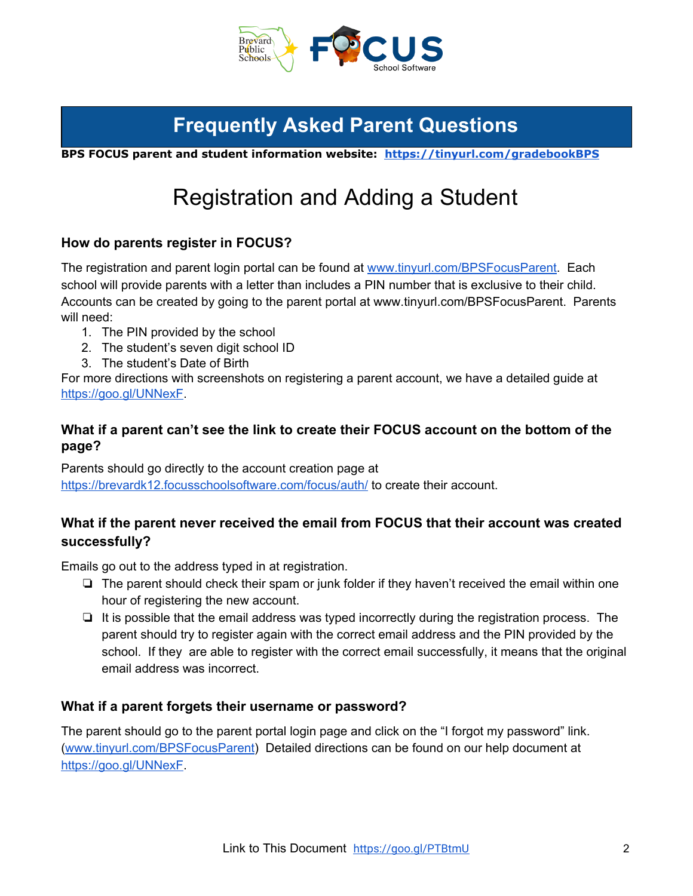

<span id="page-1-0"></span>**BPS FOCUS parent and student information website: [https://tinyurl.com/gradebookBPS](https://sites.google.com/share.brevardschools.org/bps-focus-for-parents-and-stud/welcome)**

# Registration and Adding a Student

## <span id="page-1-1"></span>**How do parents register in FOCUS?**

The registration and parent login portal can be found at [www.tinyurl.com/BPSFocusParent](http://www.tinyurl.com/BPSFocusParent). Each school will provide parents with a letter than includes a PIN number that is exclusive to their child. Accounts can be created by going to the parent portal at [www.tinyurl.com/BPSFocusParent](https://brevardk12.focusschoolsoftware.com/focus/). Parents will need:

- 1. The PIN provided by the school
- 2. The student's seven digit school ID
- 3. The student's Date of Birth

For more directions with screenshots on registering a parent account, we have a detailed guide at [https://goo.gl/UNNexF](https://docs.google.com/document/d/1xpC4J7fqpsHtCwypcrpw0WyKlp1ztdvLA2Z3H9GaCUo/edit?usp=sharing).

## <span id="page-1-2"></span>**What if a parent can't see the link to create their FOCUS account on the bottom of the page?**

Parents should go directly to the account creation page at <https://brevardk12.focusschoolsoftware.com/focus/auth/> to create their account.

# <span id="page-1-3"></span>**What if the parent never received the email from FOCUS that their account was created successfully?**

Emails go out to the address typed in at registration.

- ❏ The parent should check their spam or junk folder if they haven't received the email within one hour of registering the new account.
- ❏ It is possible that the email address was typed incorrectly during the registration process. The parent should try to register again with the correct email address and the PIN provided by the school. If they are able to register with the correct email successfully, it means that the original email address was incorrect.

### <span id="page-1-4"></span>**What if a parent forgets their username or password?**

The parent should go to the parent portal login page and click on the "I forgot my password" link. ([www.tinyurl.com/BPSFocusParent](https://brevardk12.focusschoolsoftware.com/focus/)) Detailed directions can be found on our help document at <https://goo.gl/UNNexF>.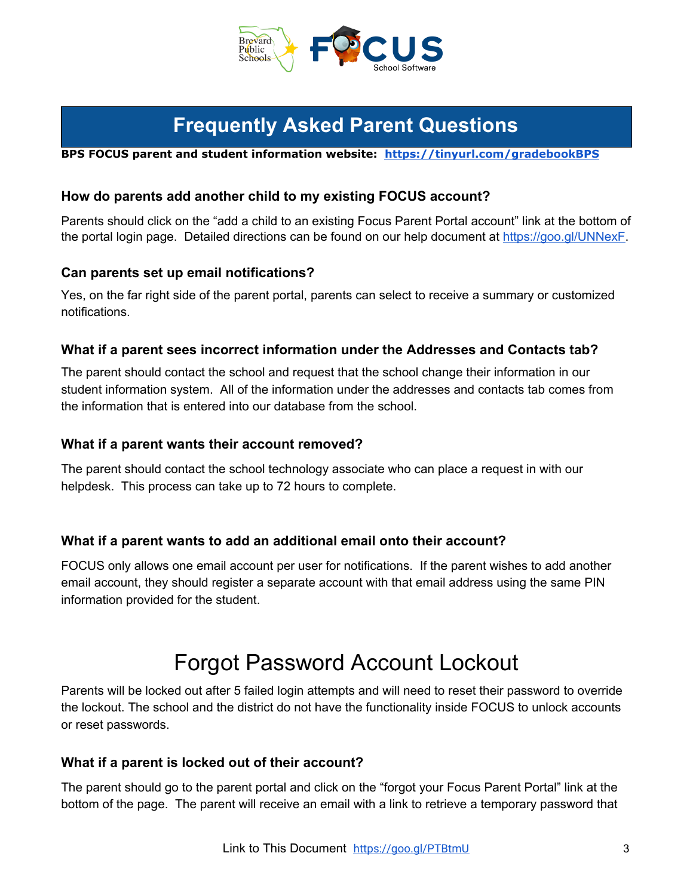

**BPS FOCUS parent and student information website: [https://tinyurl.com/gradebookBPS](https://sites.google.com/share.brevardschools.org/bps-focus-for-parents-and-stud/welcome)**

## <span id="page-2-0"></span>**How do parents add another child to my existing FOCUS account?**

Parents should click on the "add a child to an existing Focus Parent Portal account" link at the bottom of the portal login page. Detailed directions can be found on our help document at [https://goo.gl/UNNexF.](https://goo.gl/UNNexF)

### <span id="page-2-1"></span>**Can parents set up email notifications?**

Yes, on the far right side of the parent portal, parents can select to receive a summary or customized notifications.

### <span id="page-2-2"></span>**What if a parent sees incorrect information under the Addresses and Contacts tab?**

The parent should contact the school and request that the school change their information in our student information system. All of the information under the addresses and contacts tab comes from the information that is entered into our database from the school.

#### <span id="page-2-3"></span>**What if a parent wants their account removed?**

The parent should contact the school technology associate who can place a request in with our helpdesk. This process can take up to 72 hours to complete.

### <span id="page-2-4"></span>**What if a parent wants to add an additional email onto their account?**

FOCUS only allows one email account per user for notifications. If the parent wishes to add another email account, they should register a separate account with that email address using the same PIN information provided for the student.

# Forgot Password Account Lockout

<span id="page-2-5"></span>Parents will be locked out after 5 failed login attempts and will need to reset their password to override the lockout. The school and the district do not have the functionality inside FOCUS to unlock accounts or reset passwords.

### <span id="page-2-6"></span>**What if a parent is locked out of their account?**

The parent should go to the parent portal and click on the "forgot your Focus Parent Portal" link at the bottom of the page. The parent will receive an email with a link to retrieve a temporary password that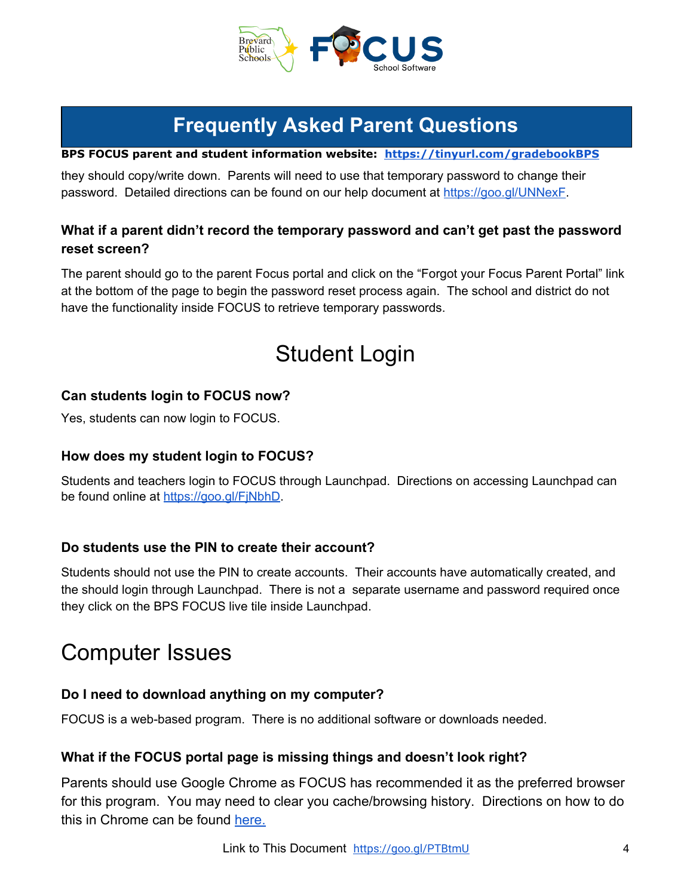

**BPS FOCUS parent and student information website: [https://tinyurl.com/gradebookBPS](https://sites.google.com/share.brevardschools.org/bps-focus-for-parents-and-stud/welcome)**

they should copy/write down. Parents will need to use that temporary password to change their password. Detailed directions can be found on our help document at <https://goo.gl/UNNexF>.

# <span id="page-3-0"></span>**What if a parent didn't record the temporary password and can't get past the password reset screen?**

<span id="page-3-1"></span>The parent should go to the parent Focus portal and click on the "Forgot your Focus Parent Portal" link at the bottom of the page to begin the password reset process again. The school and district do not have the functionality inside FOCUS to retrieve temporary passwords.

# Student Login

# <span id="page-3-2"></span>**Can students login to FOCUS now?**

<span id="page-3-3"></span>Yes, students can now login to FOCUS.

## **How does my student login to FOCUS?**

Students and teachers login to FOCUS through Launchpad. Directions on accessing Launchpad can be found online at [https://goo.gl/FjNbhD.](https://goo.gl/FjNbhD)

### <span id="page-3-4"></span>**Do students use the PIN to create their account?**

Students should not use the PIN to create accounts. Their accounts have automatically created, and the should login through Launchpad. There is not a separate username and password required once they click on the BPS FOCUS live tile inside Launchpad.

# <span id="page-3-5"></span>Computer Issues

### <span id="page-3-6"></span>**Do I need to download anything on my computer?**

<span id="page-3-7"></span>FOCUS is a web-based program. There is no additional software or downloads needed.

### **What if the FOCUS portal page is missing things and doesn't look right?**

Parents should use Google Chrome as FOCUS has recommended it as the preferred browser for this program. You may need to clear you cache/browsing history. Directions on how to do this in Chrome can be found [here.](https://support.google.com/accounts/answer/32050?co=GENIE.Platform%3DDesktop&hl=en)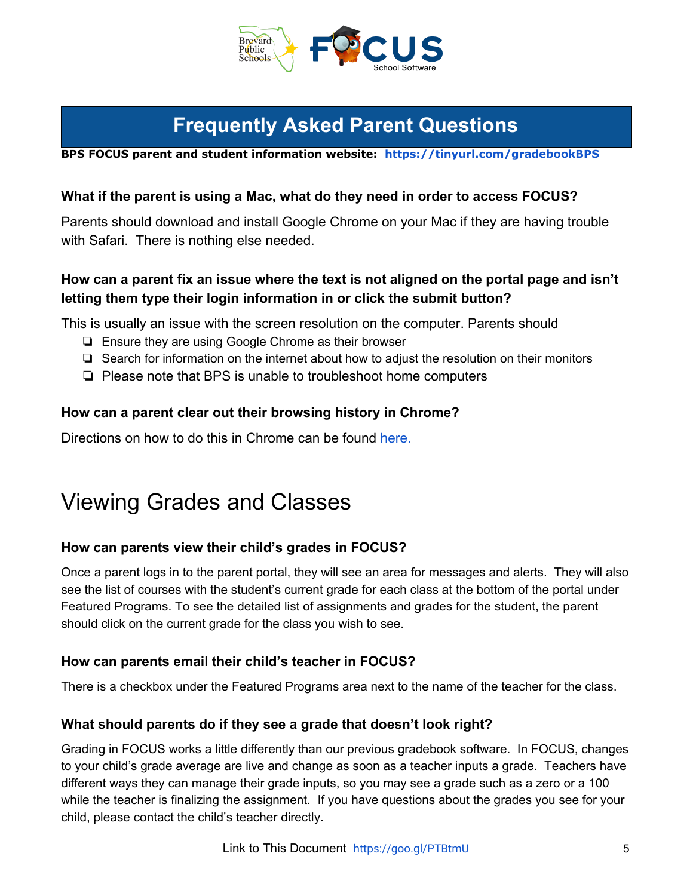

**BPS FOCUS parent and student information website: [https://tinyurl.com/gradebookBPS](https://sites.google.com/share.brevardschools.org/bps-focus-for-parents-and-stud/welcome)**

## <span id="page-4-0"></span>**What if the parent is using a Mac, what do they need in order to access FOCUS?**

Parents should download and install Google Chrome on your Mac if they are having trouble with Safari. There is nothing else needed.

# <span id="page-4-1"></span>**How can a parent fix an issue where the text is not aligned on the portal page and isn't letting them type their login information in or click the submit button?**

This is usually an issue with the screen resolution on the computer. Parents should

- ❏ Ensure they are using Google Chrome as their browser
- ❏ Search for information on the internet about how to adjust the resolution on their monitors
- ❏ Please note that BPS is unable to troubleshoot home computers

## <span id="page-4-2"></span>**How can a parent clear out their browsing history in Chrome?**

Directions on how to do this in Chrome can be found [here.](https://support.google.com/accounts/answer/32050?co=GENIE.Platform%3DDesktop&hl=en)

# <span id="page-4-3"></span>Viewing Grades and Classes

# <span id="page-4-4"></span>**How can parents view their child's grades in FOCUS?**

Once a parent logs in to the parent portal, they will see an area for messages and alerts. They will also see the list of courses with the student's current grade for each class at the bottom of the portal under Featured Programs. To see the detailed list of assignments and grades for the student, the parent should click on the current grade for the class you wish to see.

# <span id="page-4-5"></span>**How can parents email their child's teacher in FOCUS?**

<span id="page-4-6"></span>There is a checkbox under the Featured Programs area next to the name of the teacher for the class.

### **What should parents do if they see a grade that doesn't look right?**

Grading in FOCUS works a little differently than our previous gradebook software. In FOCUS, changes to your child's grade average are live and change as soon as a teacher inputs a grade. Teachers have different ways they can manage their grade inputs, so you may see a grade such as a zero or a 100 while the teacher is finalizing the assignment. If you have questions about the grades you see for your child, please contact the child's teacher directly.